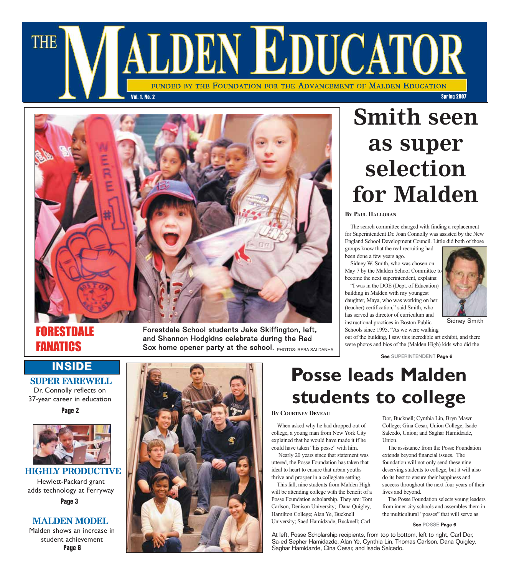



### RESTDALE FANATICS

Forestdale School students Jake Skiffington, left, and Shannon Hodgkins celebrate during the Red Sox home opener party at the school. PHOTOS: REBA SALDANHA

#### **INSIDE**

**SUPER FAREWELL**  Dr. Connolly reflects on 37-year career in education

**Page 2**



**HIGHLY PRODUCTIVE** Hewlett-Packard grant adds technology at Ferryway **Page 3**

#### **MALDEN MODEL**

Malden shows an increase in student achievement **Page 6**



# **Smith seen as super selection for Malden**

#### **BY PAUL HALLORAN**

The search committee charged with finding a replacement for Superintendent Dr. Joan Connolly was assisted by the New England School Development Council. Little did both of those groups know that the real recruiting had

been done a few years ago.

Sidney W. Smith, who was chosen on May 7 by the Malden School Committee to become the next superintendent, explains:

"I was in the DOE (Dept. of Education) building in Malden with my youngest daughter, Maya, who was working on her (teacher) certification," said Smith, who has served as director of curriculum and instructional practices in Boston Public



Sidney Smith

Schools since 1995. "As we were walking out of the building, I saw this incredible art exhibit, and there were photos and bios of the (Malden High) kids who did the

See SUPERINTENDENT Page 6

## **Posse leads Malden students to college**

#### **BY COURTNEY DEVEAU**

When asked why he had dropped out of college, a young man from New York City explained that he would have made it if he could have taken "his posse" with him.

Nearly 20 years since that statement was uttered, the Posse Foundation has taken that ideal to heart to ensure that urban youths thrive and prosper in a collegiate setting.

This fall, nine students from Malden High will be attending college with the benefit of a Posse Foundation scholarship. They are: Tom Carlson, Denison University; Dana Quigley, Hamilton College; Alan Ye, Bucknell University; Saed Hamidzade, Bucknell; Carl

Dor, Bucknell; Cynthia Lin, Bryn Mawr College; Gina Cesar, Union College; Isade Salcedo, Union; and Saghar Hamidzade, Union.

The assistance from the Posse Foundation extends beyond financial issues. The foundation will not only send these nine deserving students to college, but it will also do its best to ensure their happiness and success throughout the next four years of their lives and beyond.

The Posse Foundation selects young leaders from inner-city schools and assembles them in the multicultural "posses" that will serve as

#### See POSSE Page 6

At left, Posse Scholarship recipients, from top to bottom, left to right, Carl Dor, Sa-ed Sepher Hamidazde, Alan Ye, Cynthia Lin, Thomas Carlson, Dana Quigley, Saghar Hamidazde, Cina Cesar, and Isade Salcedo.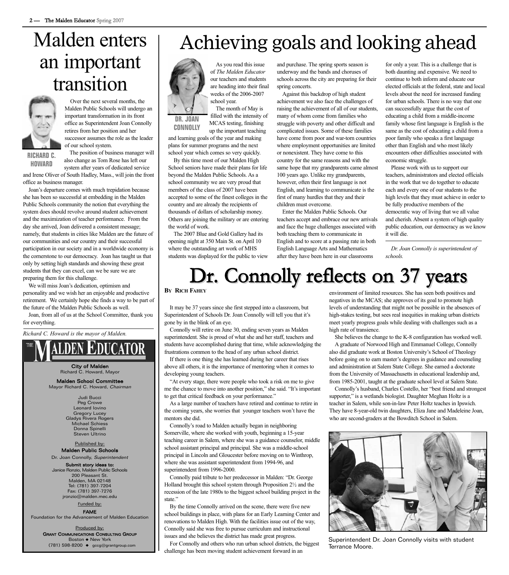# Malden enters an important transition



Over the next several months, the Malden Public Schools will undergo an important transformation in its front office as Superintendent Joan Connolly retires from her position and her successor assumes the role as the leader of our school system.

**RICHARD C. HOWARD**

The position of business manager will also change as Tom Rose has left our

system after years of dedicated service and Irene Oliver of South Hadley, Mass., will join the front office as business manager.

Joan's departure comes with much trepidation because she has been so successful at embedding in the Malden Public Schools community the notion that everything the system does should revolve around student achievement and the maximization of teacher performance. From the day she arrived, Joan delivered a consistent message; namely, that students in cities like Malden are the future of our communities and our country and their successful participation in our society and in a worldwide economy is the cornerstone to our democracy. Joan has taught us that only by setting high standards and showing these great students that they can excel, can we be sure we are preparing them for this challenge.

We will miss Joan's dedication, optimism and personality and we wish her an enjoyable and productive retirement. We certainly hope she finds a way to be part of the future of the Malden Public Schools as well.

Joan, from all of us at the School Committee, thank you for everything.

#### *Richard C. Howard is the mayor of Malden.*



City of Malden Richard C. Howard, Mayor

Malden School Committee Mayor Richard C. Howard, Chairman

> Judi Bucci Peg Crowe Leonard Iovino Gregory Lucey Gladys Rivera Rogers Michael Schiess Donna Spinelli Steven Ultrino

Published by:

Malden Public Schools Dr. Joan Connolly, Superintendent

Submit story ideas to: Janice Ronzio, Malden Public Schools 200 Pleasant St. Malden, MA 02148

Tel: (781) 397-7204 Fax: (781) 397-7276 jronzio@malden.mec.edu Funded by:

#### FAME

Foundation for the Advancement of Malden Education

Produced by: GRANT COMMUNICATIONS CONSULTING GROUP Boston ◆ New York (781) 598-8200 ◆ gccg@grantgroup.com

## Achieving goals and looking ahead



**DR. JOAN CONNOLLY**

As you read this issue of *The Malden Educator* our teachers and students are heading into their final weeks of the 2006-2007 school year.

The month of May is filled with the intensity of MCAS testing, finishing up the important teaching

and learning goals of the year and making plans for summer programs and the next school year which comes so very quickly.

By this time most of our Malden High School seniors have made their plans for life beyond the Malden Public Schools. As a school community we are very proud that members of the class of 2007 have been accepted to some of the finest colleges in the country and are already the recipients of thousands of dollars of scholarship money. Others are joining the military or are entering the world of work.

The 2007 Blue and Gold Gallery had its opening night at 350 Main St. on April 10 where the outstanding art work of MHS students was displayed for the public to view and purchase. The spring sports season is underway and the bands and choruses of schools across the city are preparing for their spring concerts.

Against this backdrop of high student achievement we also face the challenges of raising the achievement of all of our students, many of whom come from families who struggle with poverty and other difficult and complicated issues. Some of these families have come from poor and war-torn countries where employment opportunities are limited or nonexistent. They have come to this country for the same reasons and with the same hope that my grandparents came almost 100 years ago. Unlike my grandparents, however, often their first language is not English, and learning to communicate is the first of many hurdles that they and their children must overcome.

Enter the Malden Public Schools. Our teachers accept and embrace our new arrivals and face the huge challenges associated with both teaching them to communicate in English and to score at a passing rate in both English Language Arts and Mathematics after they have been here in our classrooms

for only a year. This is a challenge that is both daunting and expensive. We need to continue to both inform and educate our elected officials at the federal, state and local levels about the need for increased funding for urban schools. There is no way that one can successfully argue that the cost of educating a child from a middle-income family whose first language is English is the same as the cost of educating a child from a poor family who speaks a first language other than English and who most likely encounters other difficulties associated with economic struggle.

Please work with us to support our teachers, administrators and elected officials in the work that we do together to educate each and every one of our students to the high levels that they must achieve in order to be fully productive members of the democratic way of living that we all value and cherish. Absent a system of high quality public education, our democracy as we know it will die.

*Dr. Joan Connolly is superintendent of schools.* 

# Dr. Connolly reflects on 37 years

#### **BY RICH FAHEY**

It may be 37 years since she first stepped into a classroom, but Superintendent of Schools Dr. Joan Connolly will tell you that it's gone by in the blink of an eye.

Connolly will retire on June 30, ending seven years as Malden superintendent. She is proud of what she and her staff, teachers and students have accomplished during that time, while acknowledging the frustrations common to the head of any urban school district.

If there is one thing she has learned during her career that rises above all others, it is the importance of mentoring when it comes to developing young teachers.

"At every stage, there were people who took a risk on me to give me the chance to move into another position," she said. "It's important to get that critical feedback on your performance."

As a large number of teachers have retired and continue to retire in the coming years, she worries that younger teachers won't have the mentors she did.

Connolly's road to Malden actually began in neighboring Somerville, where she worked with youth, beginning a 15-year teaching career in Salem, where she was a guidance counselor, middle school assistant principal and principal. She was a middle-school principal in Lincoln and Gloucester before moving on to Winthrop, where she was assistant superintendent from 1994-96, and superintendent from 1996-2000.

Connolly paid tribute to her predecessor in Malden: "Dr. George Holland brought this school system through Proposition 2½ and the recession of the late 1980s to the biggest school building project in the state."

By the time Connolly arrived on the scene, there were five new school buildings in place, with plans for an Early Learning Center and renovations to Malden High. With the facilities issue out of the way, Connolly said she was free to pursue curriculum and instructional issues and she believes the district has made great progress.

For Connolly and others who run urban school districts, the biggest challenge has been moving student achievement forward in an

environment of limited resources. She has seen both positives and negatives in the MCAS; she approves of its goal to promote high levels of understanding that might not be possible in the absences of high-stakes testing, but sees real inequities in making urban districts meet yearly progress goals while dealing with challenges such as a high rate of transience.

She believes the change to the K-8 configuration has worked well. A graduate of Norwood High and Emmanuel College, Connolly also did graduate work at Boston University's School of Theology before going on to earn master's degrees in guidance and counseling and administration at Salem State College. She earned a doctorate from the University of Massachusetts in educational leadership and, from 1985-2001, taught at the graduate school level at Salem State.

Connolly's husband, Charles Costello, her "best friend and strongest supporter," is a wetlands biologist. Daughter Meghan Holtz is a teacher in Salem, while son-in-law Peter Holtz teaches in Ipswich. They have 8-year-old twin daughters, Eliza Jane and Madeleine Joan, who are second-graders at the Bowditch School in Salem.



Superintendent Dr. Joan Connolly visits with student Terrance Moore.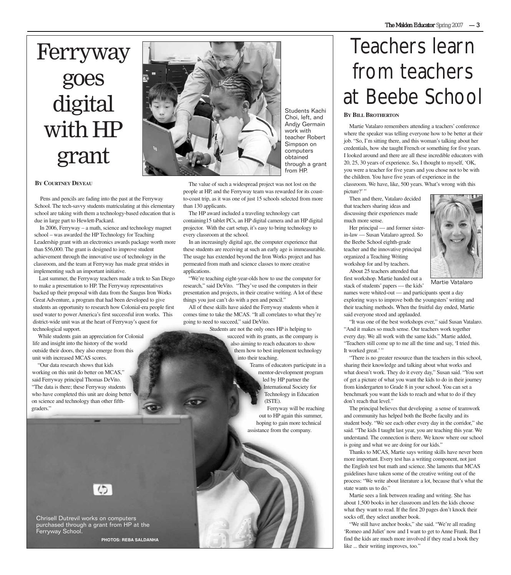# Ferryway goes digital with HP grant

#### **BY COURTNEY DEVEAU**

Pens and pencils are fading into the past at the Ferryway School. The tech-savvy students matriculating at this elementary school are taking with them a technology-based education that is due in large part to Hewlett-Packard.

In 2006, Ferryway – a math, science and technology magnet school – was awarded the HP Technology for Teaching Leadership grant with an electronics awards package worth more than \$56,000. The grant is designed to improve student achievement through the innovative use of technology in the classroom, and the team at Ferryway has made great strides in implementing such an important initiative.

Last summer, the Ferryway teachers made a trek to San Diego to make a presentation to HP. The Ferryway representatives backed up their proposal with data from the Saugus Iron Works Great Adventure, a program that had been developed to give students an opportunity to research how Colonial-era people first used water to power America's first successful iron works. This district-wide unit was at the heart of Ferryway's quest for technological support.

While students gain an appreciation for Colonial life and insight into the history of the world outside their doors, they also emerge from this unit with increased MCAS scores.

"Our data research shows that kids working on this unit do better on MCAS," said Ferryway principal Thomas DeVito. "The data is there; these Ferryway students who have completed this unit are doing better on science and technology than other fifthgraders."



Chrisell Dutrevil works on computers purchased through a grant from HP at the Ferryway School.

**PHOTOS: REBA SALDANHA**



Students Kachi Choi, left, and Andjy Germain work with teacher Robert Simpson on computers obtained through a grant from HP.

The value of such a widespread project was not lost on the people at HP, and the Ferryway team was rewarded for its coastto-coast trip, as it was one of just 15 schools selected from more than 130 applicants.

The HP award included a traveling technology cart containing15 tablet PCs, an HP digital camera and an HP digital projector. With the cart setup, it's easy to bring technology to every classroom at the school.

In an increasingly digital age, the computer experience that these students are receiving at such an early age is immeasurable. The usage has extended beyond the Iron Works project and has permeated from math and science classes to more creative applications.

"We're teaching eight-year-olds how to use the computer for research," said DeVito. "They've used the computers in their presentation and projects, in their creative writing. A lot of these things you just can't do with a pen and pencil."

All of these skills have aided the Ferryway students when it comes time to take the MCAS. "It all correlates to what they're going to need to succeed," said DeVito.

Students are not the only ones HP is helping to succeed with its grants, as the company is also aiming to reach educators to show them how to best implement technology into their teaching.

> Teams of educators participate in a mentor-development program led by HP partner the International Society for Technology in Education (ISTE). Ferryway will be reaching out to HP again this summer, hoping to gain more technical assistance from the company.

# Teachers learn from teachers at Beebe School

#### **BY BILL BROTHERTON**

Martie Vatalaro remembers attending a teachers' conference where the speaker was telling everyone how to be better at their job. "So, I'm sitting there, and this woman's talking about her credentials, how she taught French or something for five years. I looked around and there are all these incredible educators with 20, 25, 30 years of experience. So, I thought to myself, 'OK, you were a teacher for five years and you chose not to be with the children. You have five years of experience in the classroom. We have, like, 500 years. What's wrong with this picture?' "

Then and there, Vatalaro decided that teachers sharing ideas and discussing their experiences made much more sense.

Her principal — and former sisterin-law — Susan Vatalaro agreed. So the Beebe School eighth-grade teacher and the innovative principal organized a Teaching Writing workshop for and by teachers.

About 25 teachers attended that first workshop. Martie handed out a stack of students' papers — the kids'



Martie Vatalaro

names were whited-out — and participants spent a day exploring ways to improve both the youngsters' writing and their teaching methods. When the fruitful day ended, Martie said everyone stood and applauded.

"It was one of the best workshops ever," said Susan Vatalaro. "And it makes so much sense. Our teachers work together every day. We all work with the same kids." Martie added, "Teachers still come up to me all the time and say, 'I tried this. It worked great.''

"There is no greater resource than the teachers in this school, sharing their knowledge and talking about what works and what doesn't work. They do it every day," Susan said. "You sort of get a picture of what you want the kids to do in their journey from kindergarten to Grade 8 in your school. You can set a benchmark you want the kids to reach and what to do if they don't reach that level."

The principal believes that developing a sense of teamwork and community has helped both the Beebe faculty and its student body. "We see each other every day in the corridor," she said. "The kids I taught last year, you are teaching this year. We understand. The connection is there. We know where our school is going and what we are doing for our kids."

Thanks to MCAS, Martie says writing skills have never been more important. Every test has a writing component, not just the English test but math and science. She laments that MCAS guidelines have taken some of the creative writing out of the process: "We write about literature a lot, because that's what the state wants us to do."

Martie sees a link between reading and writing. She has about 1,500 books in her classroom and lets the kids choose what they want to read. If the first 20 pages don't knock their socks off, they select another book.

"We still have anchor books," she said. "We're all reading 'Romeo and Juliet' now and I want to get to Anne Frank. But I find the kids are much more involved if they read a book they like ... their writing improves, too."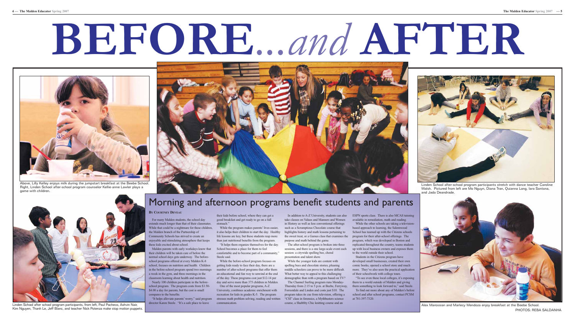# **BEFORE***...and* **AFTER**

## Morning and afternoon programs benefit students and parents

For many Malden students, the school day extends much longer than that of their classmates. While that could be a nightmare for these children, the Malden branch of the Partnership of Community Schools has strived to create an enjoyable and stimulating atmosphere that keeps these kids excited about school.

#### **BY COURTNEY DEVEAU**

Malden parents with early workdays know that School becomes a place for them to feel their children will be taken care of before the normal school days gets underway. The beforeschool programs offered at every Malden K-8 school, focuses on nutrition and health. Children in the before-school program spend two mornings a week in the gym, and three mornings in the classroom learning about health and nutrition.

Nearly 100 children participate in the beforeschool program. The program costs from \$3.50- \$4.00 a day for parents, but the cost is small compares to the benefits.

"It helps alleviate parents' worry," said program director Karen Steele. "It's a safe place to leave

their kids before school, where they can get a good breakfast and get ready to go on a full stomach."

While the program makes parents' lives easier, it also helps their children to start the day. Healthy life lessons are key, but these students reap more than just nutritional benefits from the program.

"It helps them organize themselves for the day. comfortable and to become part of a community," Steele said.

While the before-school program focuses on getting kids ready to face their day, there are a number of after-school programs that offer them an educational and fun way to unwind at the end of the day. These programs cost just \$12-14 per day and serve more than 375 children in Malden.

One of the most popular programs, A-Z University, combines academic enrichment with recreation for kids in grades K-5. The program stresses math problem solving, reading and written communication.

take classes on Values and Manners and Women in History as well as less conventional offerings such as a Scrumptious Chocolate course that highlights history and math lessons pertaining to the sweet treat, or a Games class that examines the purpose and math behind the game. The after-school program is broken into three

sessions, and there is a one large-scale event each

session: a citywide spelling bee, choral presentation and talent show.

In addition to A-Z University, students can also ESPN sports class. There is also MCAS tutoring available in remediation, math and reading.

While the younger kids are content with spelling bees and chocolate stories, pleasing middle schoolers can prove to be more difficult. What better way to appeal to this challenging demographic than with a program based on TV? The Channel Surfing program runs Monday-Thursday from 2:15 to 5 p.m. at Beebe, Ferryway, Forrestdale and Linden and costs just \$10. The program takes its cue from television, offering a "CSI" class in forensics, a Mythbusters science course, a Shabbby Chic knitting course and an

While the other schools are taking a televisionbased approach to learning, the Salemwood School has teamed up with the Citizens schools program for their after-school offerings. The program, which was developed in Boston and replicated throughout the country, teams students up with local business owners and exposes them to the world outside their school.

Students in the Citizens program have developed small businesses, created their own comic books, opened a school store and much more. They've also seen the practical application of their schoolwork with college tours.

"To see even these local colleges, it's exposing them to a world outside of Malden and giving them something to look forward to," said Steele.

To find out more about any of Malden's before school and after school programs, contact PCSM at 781-397-7320.



Above, Lilly Kelley enjoys milk during the jumpstart breakfast at the Beebe School. Right, Linden School after-school program counselor Kellie-anne Lawler plays a game with children.



Alex Marossian and Marlecy Mendoza enjoy breakfast at the Beebe School. PHOTOS: REBA SALDANHA



and Jada Deandrade.



Linden School after school program participants, from left, Paul Pacheco, Ashvin Nair, Kim Nguyen, Thanh Le, Jeff Blanc, and teacher Nick Potenza make stop motion puppets.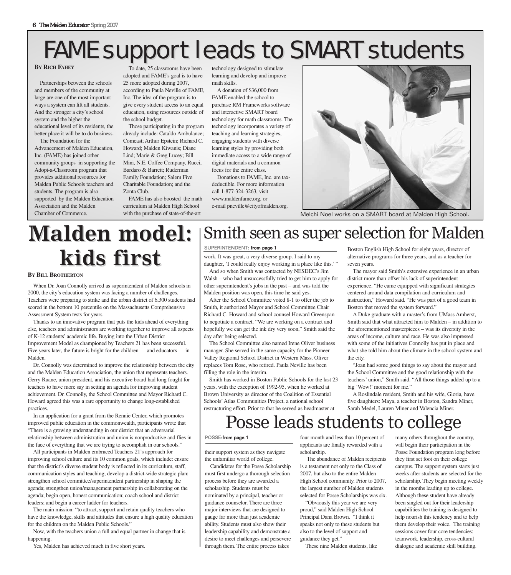# FAME support leads to SMART students

**BY RICH FAHEY**

Partnerships between the schools and members of the community at large are one of the most important ways a system can lift all students. And the stronger a city's school system and the higher the educational level of its residents, the better place it will be to do business.

The Foundation for the Advancement of Malden Education, Inc. (FAME) has joined other community groups in supporting the Adopt-a-Classroom program that provides additional resources for Malden Public Schools teachers and students. The program is also supported by the Malden Education Association and the Malden Chamber of Commerce.

To date, 25 classrooms have been adopted and FAME's goal is to have 25 more adopted during 2007, according to Paula Neville of FAME, Inc. The idea of the program is to give every student access to an equal education, using resources outside of the school budget.

Those participating in the program already include: Cataldo Ambulance; Comcast; Arthur Epstein; Richard C. Howard; Malden Kiwanis; Diane Lind; Marie & Greg Lucey; Bill Mini, N.E. Coffee Company, Rucci, Bardaro & Barrett; Ruderman Family Foundation; Salem Five Charitable Foundation; and the Zonta Club.

FAME has also boosted the math curriculum at Malden High School with the purchase of state-of-the-art

technology designed to stimulate learning and develop and improve math skills.

A donation of \$36,000 from FAME enabled the school to purchase RM Frameworks software and interactive SMART board technology for math classrooms. The technology incorporates a variety of teaching and learning strategies, engaging students with diverse learning styles by providing both immediate access to a wide range of digital materials and a common focus for the entire class.

Donations to FAME, Inc. are taxdeductible. For more information call 1-877-324-3263, visit www.maldenfame.org, or e-mail pneville@cityofmalden.org.



Melchi Noel works on a SMART board at Malden High School.

# **Malden model: Malden model: kids first** work. It was great, a very diverse group. I said to my<br>daughter. Toould really enjoy working in a place like

**BY BILL BROTHERTON**

When Dr. Joan Connolly arrived as superintendent of Malden schools in 2000, the city's education system was facing a number of challenges. Teachers were preparing to strike and the urban district of 6,300 students had scored in the bottom 10 percentile on the Massachusetts Comprehensive Assessment System tests for years.

Thanks to an innovative program that puts the kids ahead of everything else, teachers and administrators are working together to improve all aspects of K-12 students' academic life. Buying into the Urban District Improvement Model as championed by Teachers 21 has been successful. Five years later, the future is bright for the children — and educators — in Malden.

Dr. Connolly was determined to improve the relationship between the city and the Malden Education Association, the union that represents teachers. Gerry Ruane, union president, and his executive board had long fought for teachers to have more say in setting an agenda for improving student achievement. Dr. Connolly, the School Committee and Mayor Richard C. Howard agreed this was a rare opportunity to change long-established practices.

In an application for a grant from the Rennie Center, which promotes improved public education in the commonwealth, participants wrote that "There is a growing understanding in our district that an adversarial relationship between administration and union is nonproductive and flies in the face of everything that we are trying to accomplish in our schools."

All participants in Malden embraced Teachers 21's approach for improving school culture and its 10 common goals, which include: ensure that the district's diverse student body is reflected in its curriculum, staff, communication styles and teaching; develop a district-wide strategic plan; strengthen school committee/superintendent partnership in shaping the agenda; strengthen union/management partnership in collaborating on the agenda; begin open, honest communication; coach school and district leaders; and begin a career ladder for teachers.

The main mission: "to attract, support and retain quality teachers who have the knowledge, skills and attitudes that ensure a high quality education for the children on the Malden Public Schools."

Now, with the teachers union a full and equal partner in change that is happening.

Yes, Malden has achieved much in five short years.

## Smith seen as super selection for Malden

#### SUPERINTENDENT: from page 1

daughter, 'I could really enjoy working in a place like this.' "

And so when Smith was contacted by NESDEC's Jim Walsh – who had unsuccessfully tried to get him to apply for other superintendent's jobs in the past – and was told the Malden position was open, this time he said yes.

After the School Committee voted 8-1 to offer the job to Smith, it authorized Mayor and School Committee Chair Richard C. Howard and school counsel Howard Greenspan to negotiate a contract. "We are working on a contract and hopefully we can get the ink dry very soon," Smith said the day after being selected.

The School Committee also named Irene Oliver business manager. She served in the same capacity for the Pioneer Valley Regional School District in Western Mass. Oliver replaces Tom Rose, who retired. Paula Neville has been filling the role in the interim.

Smith has worked in Boston Public Schools for the last 23 years, with the exception of 1992-95, when he worked at Brown University as director of the Coalition of Essential Schools'Atlas Communities Project, a national school restructuring effort. Prior to that he served as headmaster at

Boston English High School for eight years, director of alternative programs for three years, and as a teacher for seven years.

The mayor said Smith's extensive experience in an urban district more than offset his lack of superintendent experience. "He came equipped with significant strategies centered around data compilation and curriculum and instruction," Howard said. "He was part of a good team in Boston that moved the system forward."

A Duke graduate with a master's from UMass Amherst, Smith said that what attracted him to Malden – in addition to the aforementioned masterpieces – was its diversity in the areas of income, culture and race. He was also impressed with some of the initiatives Connolly has put in place and what she told him about the climate in the school system and the city.

"Joan had some good things to say about the mayor and the School Committee and the good relationship with the teachers' union," Smith said. "All those things added up to a big 'Wow!' moment for me."

A Roslindale resident, Smith and his wife, Gloria, have five daughters: Maya, a teacher in Boston, Sandra Miner, Sarah Medel, Lauren Miner and Valencia Miner.

## Posse leads students to college

#### POSSE:from page 1

their support system as they navigate the unfamiliar world of college.

Candidates for the Posse Scholarship must first undergo a thorough selection process before they are awarded a scholarship. Students must be nominated by a principal, teacher or guidance counselor. There are three major interviews that are designed to gauge far more than just academic ability. Students must also show their leadership capability and demonstrate a desire to meet challenges and persevere through them. The entire process takes

four month and less than 10 percent of applicants are finally rewarded with a scholarship.

The abundance of Malden recipients is a testament not only to the Class of 2007, but also to the entire Malden High School community. Prior to 2007, the largest number of Malden students selected for Posse Scholarships was six.

"Obviously this year we are very proud," said Malden High School Principal Dana Brown. "I think it speaks not only to these students but also to the level of support and guidance they get."

These nine Malden students, like

many others throughout the country, will begin their participation in the Posse Foundation program long before they first set foot on their college campus. The support system starts just weeks after students are selected for the scholarship. They begin meeting weekly in the months leading up to college. Although these student have already been singled out for their leadership capabilities the training is designed to help nourish this tendency and to help them develop their voice. The training sessions cover four core tendencies: teamwork, leadership, cross-cultural dialogue and academic skill building.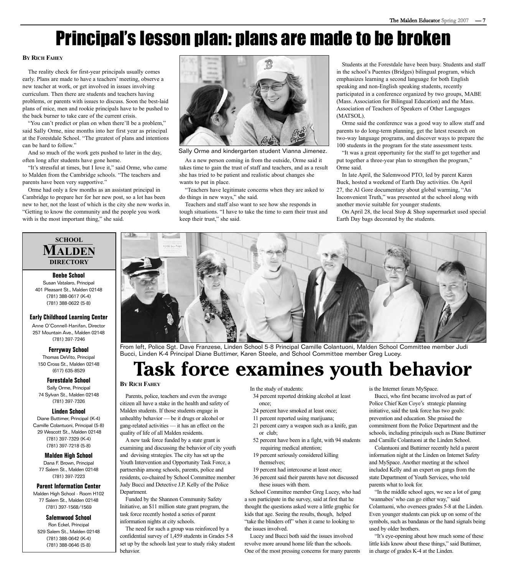# Principal's lesson plan: plans are made to be broken

#### **BY RICH FAHEY**

The reality check for first-year principals usually comes early. Plans are made to have a teachers' meeting, observe a new teacher at work, or get involved in issues involving curriculum. Then there are students and teachers having problems, or parents with issues to discuss. Soon the best-laid plans of mice, men and rookie principals have to be pushed to the back burner to take care of the current crisis.

"You can't predict or plan on when there'll be a problem," said Sally Orme, nine months into her first year as principal at the Forestdale School. "The greatest of plans and intentions can be hard to follow."

And so much of the work gets pushed to later in the day, often long after students have gone home.

"It's stressful at times, but I love it," said Orme, who came to Malden from the Cambridge schools. "The teachers and parents have been very supportive."

Orme had only a few months as an assistant principal in Cambridge to prepare her for her new post, so a lot has been new to her, not the least of which is the city she now works in. "Getting to know the community and the people you work with is the most important thing," she said.



Sally Orme and kindergarten student Vianna Jimenez.

As a new person coming in from the outside, Orme said it takes time to gain the trust of staff and teachers, and as a result she has tried to be patient and realistic about changes she wants to put in place.

"Teachers have legitimate concerns when they are asked to do things in new ways," she said.

Teachers and staff also want to see how she responds in tough situations. "I have to take the time to earn their trust and keep their trust," she said.

Students at the Forestdale have been busy. Students and staff in the school's Puentes (Bridges) bilingual program, which emphasizes learning a second language for both English speaking and non-English speaking students, recently participated in a conference organized by two groups, MABE (Mass. Association for Bilingual Education) and the Mass. Association of Teachers of Speakers of Other Languages (MATSOL).

Orme said the conference was a good way to allow staff and parents to do long-term planning, get the latest research on two-way language programs, and discover ways to prepare the 100 students in the program for the state assessment tests.

"It was a great opportunity for the staff to get together and put together a three-year plan to strengthen the program," Orme said.

In late April, the Salemwood PTO, led by parent Karen Buck, hosted a weekend of Earth Day activities. On April 27, the Al Gore documentary about global warming, "An Inconvenient Truth," was presented at the school along with another movie suitable for younger students.

On April 28, the local Stop & Shop supermarket used special Earth Day bags decorated by the students.

#### **SCHOOL MALDEN DIRECTORY**

**Beebe School** Susan Vatalaro, Principal 401 Pleasant St., Malden 02148 (781) 388-0617 (K-4) (781) 388-0622 (5-8)

#### **Early Childhood Learning Center**

Anne O'Connell-Hanifan, Director 257 Mountain Ave., Malden 02148 (781) 397-7246

**Ferryway School**

Thomas DeVito, Principal 150 Cross St., Malden 02148 (617) 635-8529

**Forestdale School** Sally Orme, Principal 74 Sylvan St., Malden 02148 (781) 397-7326

#### **Linden School**

Diane Buttimer, Principal (K-4) Camille Colantuoni, Principal (5-8) 29 Wescott St., Malden 02148 (781) 397-7329 (K-4) (781) 397-7218 (5-8)

**Malden High School** Dana F. Brown, Principal 77 Salem St., Malden 02148 (781) 397-7223

#### **Parent Information Center**

Malden High School - Room H102 77 Salem St., Malden 02148 (781) 397-1568/1569

#### **Salemwood School**

Ron Eckel, Principal 529 Salem St., Malden 02148 (781) 388-0642 (K-4) (781) 388-0646 (5-8)



From left, Police Sgt. Dave Franzese, Linden School 5-8 Principal Camille Colantuoni, Malden School Committee member Judi Bucci, Linden K-4 Principal Diane Buttimer, Karen Steele, and School Committee member Greg Lucey.

## **Task force examines youth behavior**

#### **BY RICH FAHEY**

Parents, police, teachers and even the average citizen all have a stake in the health and safety of Malden students. If those students engage in unhealthy behavior — be it drugs or alcohol or gang-related activities — it has an effect on the quality of life of all Malden residents.

A new task force funded by a state grant is examining and discussing the behavior of city youth and devising strategies. The city has set up the Youth Intervention and Opportunity Task Force, a partnership among schools, parents, police and residents, co-chaired by School Committee member Judy Bucci and Detective J.P. Kelly of the Police Department.

Funded by the Shannon Community Safety Initiative, an \$11 million state grant program, the task force recently hosted a series of parent information nights at city schools.

The need for such a group was reinforced by a confidential survey of 1,459 students in Grades 5-8 set up by the schools last year to study risky student behavior.

In the study of students:

- 34 percent reported drinking alcohol at least once;
- 24 percent have smoked at least once;
- 11 percent reported using marijuana;
- 21 percent carry a weapon such as a knife, gun or club;
- 52 percent have been in a fight, with 94 students requiring medical attention;
- 19 percent seriously considered killing themselves;

19 percent had intercourse at least once;

36 percent said their parents have not discussed these issues with them.

School Committee member Greg Lucey, who had a son participate in the survey, said at first that he thought the questions asked were a little graphic for kids that age. Seeing the results, though, helped "take the blinders off" when it came to looking to the issues involved.

Lucey and Bucci both said the issues involved revolve more around home life than the schools. One of the most pressing concerns for many parents is the Internet forum MySpace.

Bucci, who first became involved as part of Police Chief Ken Coye's strategic planning initiative, said the task force has two goals: prevention and education. She praised the commitment from the Police Department and the schools, including principals such as Diane Buttimer and Camille Colantuoni at the Linden School.

Colantuoni and Buttimer recently held a parent information night at the Linden on Internet Safety and MySpace. Another meeting at the school included Kelly and an expert on gangs from the state Department of Youth Services, who told parents what to look for.

"In the middle school ages, we see a lot of gang 'wannabes' who can go either way," said Colantuoni, who oversees grades 5-8 at the Linden. Even younger students can pick up on some of the symbols, such as bandanas or the hand signals being used by older brothers.

"It's eye-opening about how much some of these little kids know about these things," said Buttimer, in charge of grades K-4 at the Linden.